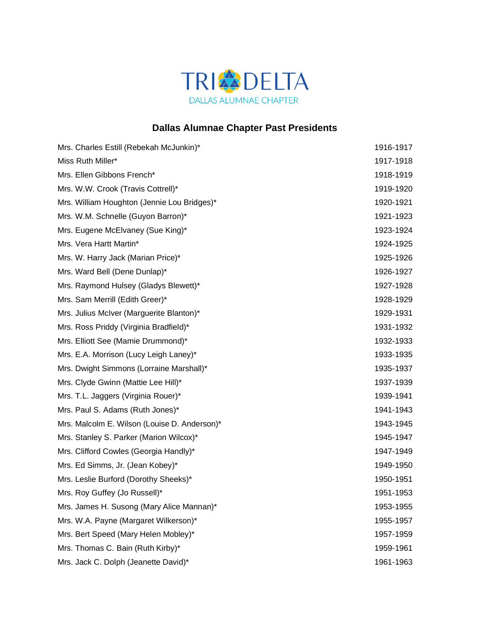

## **Dallas Alumnae Chapter Past Presidents**

| Mrs. Charles Estill (Rebekah McJunkin)*      | 1916-1917 |
|----------------------------------------------|-----------|
| Miss Ruth Miller*                            | 1917-1918 |
| Mrs. Ellen Gibbons French*                   | 1918-1919 |
| Mrs. W.W. Crook (Travis Cottrell)*           | 1919-1920 |
| Mrs. William Houghton (Jennie Lou Bridges)*  | 1920-1921 |
| Mrs. W.M. Schnelle (Guyon Barron)*           | 1921-1923 |
| Mrs. Eugene McElvaney (Sue King)*            | 1923-1924 |
| Mrs. Vera Hartt Martin*                      | 1924-1925 |
| Mrs. W. Harry Jack (Marian Price)*           | 1925-1926 |
| Mrs. Ward Bell (Dene Dunlap)*                | 1926-1927 |
| Mrs. Raymond Hulsey (Gladys Blewett)*        | 1927-1928 |
| Mrs. Sam Merrill (Edith Greer)*              | 1928-1929 |
| Mrs. Julius McIver (Marguerite Blanton)*     | 1929-1931 |
| Mrs. Ross Priddy (Virginia Bradfield)*       | 1931-1932 |
| Mrs. Elliott See (Mamie Drummond)*           | 1932-1933 |
| Mrs. E.A. Morrison (Lucy Leigh Laney)*       | 1933-1935 |
| Mrs. Dwight Simmons (Lorraine Marshall)*     | 1935-1937 |
| Mrs. Clyde Gwinn (Mattie Lee Hill)*          | 1937-1939 |
| Mrs. T.L. Jaggers (Virginia Rouer)*          | 1939-1941 |
| Mrs. Paul S. Adams (Ruth Jones)*             | 1941-1943 |
| Mrs. Malcolm E. Wilson (Louise D. Anderson)* | 1943-1945 |
| Mrs. Stanley S. Parker (Marion Wilcox)*      | 1945-1947 |
| Mrs. Clifford Cowles (Georgia Handly)*       | 1947-1949 |
| Mrs. Ed Simms, Jr. (Jean Kobey)*             | 1949-1950 |
| Mrs. Leslie Burford (Dorothy Sheeks)*        | 1950-1951 |
| Mrs. Roy Guffey (Jo Russell)*                | 1951-1953 |
| Mrs. James H. Susong (Mary Alice Mannan)*    | 1953-1955 |
| Mrs. W.A. Payne (Margaret Wilkerson)*        | 1955-1957 |
| Mrs. Bert Speed (Mary Helen Mobley)*         | 1957-1959 |
| Mrs. Thomas C. Bain (Ruth Kirby)*            | 1959-1961 |
| Mrs. Jack C. Dolph (Jeanette David)*         | 1961-1963 |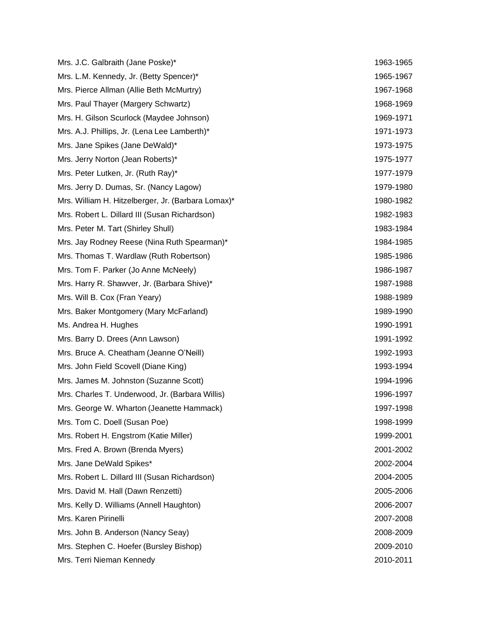| Mrs. J.C. Galbraith (Jane Poske)*                  | 1963-1965 |
|----------------------------------------------------|-----------|
| Mrs. L.M. Kennedy, Jr. (Betty Spencer)*            | 1965-1967 |
| Mrs. Pierce Allman (Allie Beth McMurtry)           | 1967-1968 |
| Mrs. Paul Thayer (Margery Schwartz)                | 1968-1969 |
| Mrs. H. Gilson Scurlock (Maydee Johnson)           | 1969-1971 |
| Mrs. A.J. Phillips, Jr. (Lena Lee Lamberth)*       | 1971-1973 |
| Mrs. Jane Spikes (Jane DeWald)*                    | 1973-1975 |
| Mrs. Jerry Norton (Jean Roberts)*                  | 1975-1977 |
| Mrs. Peter Lutken, Jr. (Ruth Ray)*                 | 1977-1979 |
| Mrs. Jerry D. Dumas, Sr. (Nancy Lagow)             | 1979-1980 |
| Mrs. William H. Hitzelberger, Jr. (Barbara Lomax)* | 1980-1982 |
| Mrs. Robert L. Dillard III (Susan Richardson)      | 1982-1983 |
| Mrs. Peter M. Tart (Shirley Shull)                 | 1983-1984 |
| Mrs. Jay Rodney Reese (Nina Ruth Spearman)*        | 1984-1985 |
| Mrs. Thomas T. Wardlaw (Ruth Robertson)            | 1985-1986 |
| Mrs. Tom F. Parker (Jo Anne McNeely)               | 1986-1987 |
| Mrs. Harry R. Shawver, Jr. (Barbara Shive)*        | 1987-1988 |
| Mrs. Will B. Cox (Fran Yeary)                      | 1988-1989 |
| Mrs. Baker Montgomery (Mary McFarland)             | 1989-1990 |
| Ms. Andrea H. Hughes                               | 1990-1991 |
| Mrs. Barry D. Drees (Ann Lawson)                   | 1991-1992 |
| Mrs. Bruce A. Cheatham (Jeanne O'Neill)            | 1992-1993 |
| Mrs. John Field Scovell (Diane King)               | 1993-1994 |
| Mrs. James M. Johnston (Suzanne Scott)             | 1994-1996 |
| Mrs. Charles T. Underwood, Jr. (Barbara Willis)    | 1996-1997 |
| Mrs. George W. Wharton (Jeanette Hammack)          | 1997-1998 |
| Mrs. Tom C. Doell (Susan Poe)                      | 1998-1999 |
| Mrs. Robert H. Engstrom (Katie Miller)             | 1999-2001 |
| Mrs. Fred A. Brown (Brenda Myers)                  | 2001-2002 |
| Mrs. Jane DeWald Spikes*                           | 2002-2004 |
| Mrs. Robert L. Dillard III (Susan Richardson)      | 2004-2005 |
| Mrs. David M. Hall (Dawn Renzetti)                 | 2005-2006 |
| Mrs. Kelly D. Williams (Annell Haughton)           | 2006-2007 |
| Mrs. Karen Pirinelli                               | 2007-2008 |
| Mrs. John B. Anderson (Nancy Seay)                 | 2008-2009 |
| Mrs. Stephen C. Hoefer (Bursley Bishop)            | 2009-2010 |
| Mrs. Terri Nieman Kennedy                          | 2010-2011 |